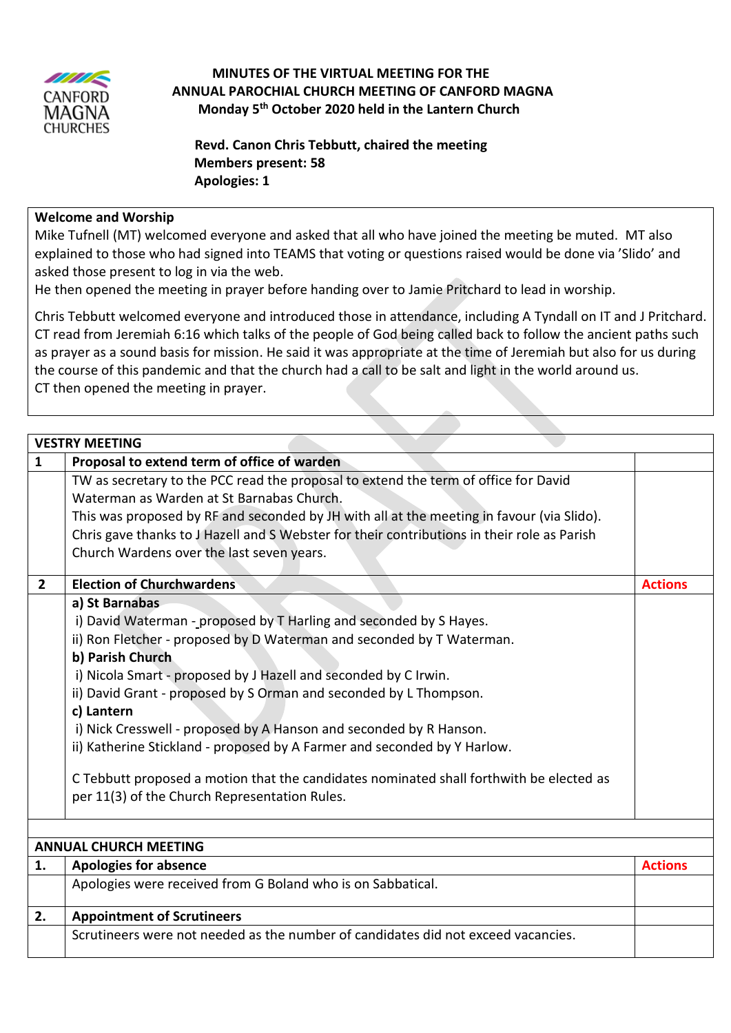

## **MINUTES OF THE VIRTUAL MEETING FOR THE ANNUAL PAROCHIAL CHURCH MEETING OF CANFORD MAGNA Monday 5 th October 2020 held in the Lantern Church**

 **Revd. Canon Chris Tebbutt, chaired the meeting Members present: 58 Apologies: 1**

## **Welcome and Worship**

Mike Tufnell (MT) welcomed everyone and asked that all who have joined the meeting be muted. MT also explained to those who had signed into TEAMS that voting or questions raised would be done via 'Slido' and asked those present to log in via the web.

He then opened the meeting in prayer before handing over to Jamie Pritchard to lead in worship.

Chris Tebbutt welcomed everyone and introduced those in attendance, including A Tyndall on IT and J Pritchard. CT read from Jeremiah 6:16 which talks of the people of God being called back to follow the ancient paths such as prayer as a sound basis for mission. He said it was appropriate at the time of Jeremiah but also for us during the course of this pandemic and that the church had a call to be salt and light in the world around us. CT then opened the meeting in prayer.

|                | <b>VESTRY MEETING</b>                                                                                                                                                                                                                                                                                                                                                                                                                                                                                                                                                                                                                 |                |  |
|----------------|---------------------------------------------------------------------------------------------------------------------------------------------------------------------------------------------------------------------------------------------------------------------------------------------------------------------------------------------------------------------------------------------------------------------------------------------------------------------------------------------------------------------------------------------------------------------------------------------------------------------------------------|----------------|--|
| $\mathbf{1}$   | Proposal to extend term of office of warden                                                                                                                                                                                                                                                                                                                                                                                                                                                                                                                                                                                           |                |  |
|                | TW as secretary to the PCC read the proposal to extend the term of office for David<br>Waterman as Warden at St Barnabas Church.<br>This was proposed by RF and seconded by JH with all at the meeting in favour (via Slido).<br>Chris gave thanks to J Hazell and S Webster for their contributions in their role as Parish<br>Church Wardens over the last seven years.                                                                                                                                                                                                                                                             |                |  |
| $\overline{2}$ | <b>Election of Churchwardens</b>                                                                                                                                                                                                                                                                                                                                                                                                                                                                                                                                                                                                      | <b>Actions</b> |  |
|                | a) St Barnabas<br>i) David Waterman - proposed by T Harling and seconded by S Hayes.<br>ii) Ron Fletcher - proposed by D Waterman and seconded by T Waterman.<br>b) Parish Church<br>i) Nicola Smart - proposed by J Hazell and seconded by C Irwin.<br>ii) David Grant - proposed by S Orman and seconded by L Thompson.<br>c) Lantern<br>i) Nick Cresswell - proposed by A Hanson and seconded by R Hanson.<br>ii) Katherine Stickland - proposed by A Farmer and seconded by Y Harlow.<br>C Tebbutt proposed a motion that the candidates nominated shall forthwith be elected as<br>per 11(3) of the Church Representation Rules. |                |  |
|                |                                                                                                                                                                                                                                                                                                                                                                                                                                                                                                                                                                                                                                       |                |  |
| 1.             | <b>ANNUAL CHURCH MEETING</b>                                                                                                                                                                                                                                                                                                                                                                                                                                                                                                                                                                                                          | <b>Actions</b> |  |
|                | <b>Apologies for absence</b><br>Apologies were received from G Boland who is on Sabbatical.                                                                                                                                                                                                                                                                                                                                                                                                                                                                                                                                           |                |  |
|                |                                                                                                                                                                                                                                                                                                                                                                                                                                                                                                                                                                                                                                       |                |  |
| 2.             | <b>Appointment of Scrutineers</b>                                                                                                                                                                                                                                                                                                                                                                                                                                                                                                                                                                                                     |                |  |
|                | Scrutineers were not needed as the number of candidates did not exceed vacancies.                                                                                                                                                                                                                                                                                                                                                                                                                                                                                                                                                     |                |  |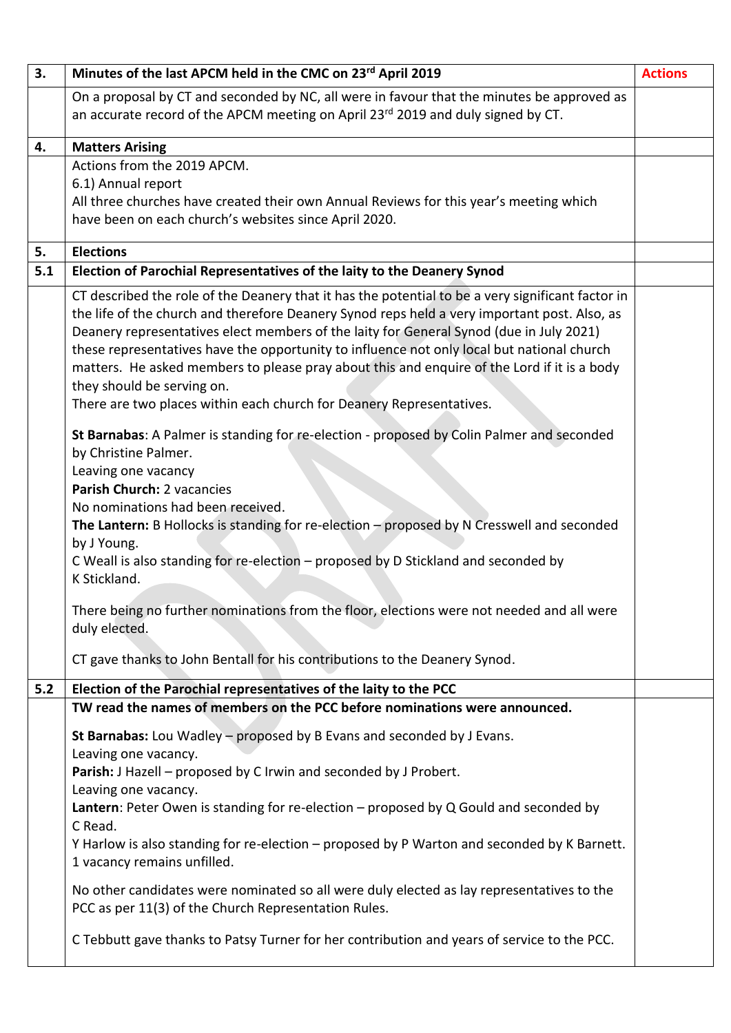| 3.        | Minutes of the last APCM held in the CMC on 23rd April 2019                                                                                                                                                                                                                                                                                                                                                                                                                                                                                                                                     | <b>Actions</b> |
|-----------|-------------------------------------------------------------------------------------------------------------------------------------------------------------------------------------------------------------------------------------------------------------------------------------------------------------------------------------------------------------------------------------------------------------------------------------------------------------------------------------------------------------------------------------------------------------------------------------------------|----------------|
|           | On a proposal by CT and seconded by NC, all were in favour that the minutes be approved as                                                                                                                                                                                                                                                                                                                                                                                                                                                                                                      |                |
|           | an accurate record of the APCM meeting on April 23rd 2019 and duly signed by CT.                                                                                                                                                                                                                                                                                                                                                                                                                                                                                                                |                |
| 4.        |                                                                                                                                                                                                                                                                                                                                                                                                                                                                                                                                                                                                 |                |
|           | <b>Matters Arising</b><br>Actions from the 2019 APCM.                                                                                                                                                                                                                                                                                                                                                                                                                                                                                                                                           |                |
|           | 6.1) Annual report                                                                                                                                                                                                                                                                                                                                                                                                                                                                                                                                                                              |                |
|           | All three churches have created their own Annual Reviews for this year's meeting which                                                                                                                                                                                                                                                                                                                                                                                                                                                                                                          |                |
|           | have been on each church's websites since April 2020.                                                                                                                                                                                                                                                                                                                                                                                                                                                                                                                                           |                |
|           |                                                                                                                                                                                                                                                                                                                                                                                                                                                                                                                                                                                                 |                |
| 5.<br>5.1 | <b>Elections</b><br>Election of Parochial Representatives of the laity to the Deanery Synod                                                                                                                                                                                                                                                                                                                                                                                                                                                                                                     |                |
|           |                                                                                                                                                                                                                                                                                                                                                                                                                                                                                                                                                                                                 |                |
|           | CT described the role of the Deanery that it has the potential to be a very significant factor in<br>the life of the church and therefore Deanery Synod reps held a very important post. Also, as<br>Deanery representatives elect members of the laity for General Synod (due in July 2021)<br>these representatives have the opportunity to influence not only local but national church<br>matters. He asked members to please pray about this and enquire of the Lord if it is a body<br>they should be serving on.<br>There are two places within each church for Deanery Representatives. |                |
|           | St Barnabas: A Palmer is standing for re-election - proposed by Colin Palmer and seconded<br>by Christine Palmer.<br>Leaving one vacancy<br>Parish Church: 2 vacancies<br>No nominations had been received.<br>The Lantern: B Hollocks is standing for re-election $-$ proposed by N Cresswell and seconded<br>by J Young.<br>C Weall is also standing for re-election - proposed by D Stickland and seconded by<br>K Stickland.                                                                                                                                                                |                |
|           | There being no further nominations from the floor, elections were not needed and all were<br>duly elected.                                                                                                                                                                                                                                                                                                                                                                                                                                                                                      |                |
|           | CT gave thanks to John Bentall for his contributions to the Deanery Synod.                                                                                                                                                                                                                                                                                                                                                                                                                                                                                                                      |                |
| 5.2       | Election of the Parochial representatives of the laity to the PCC                                                                                                                                                                                                                                                                                                                                                                                                                                                                                                                               |                |
|           | TW read the names of members on the PCC before nominations were announced.                                                                                                                                                                                                                                                                                                                                                                                                                                                                                                                      |                |
|           | St Barnabas: Lou Wadley - proposed by B Evans and seconded by J Evans.<br>Leaving one vacancy.<br>Parish: J Hazell - proposed by C Irwin and seconded by J Probert.<br>Leaving one vacancy.<br>Lantern: Peter Owen is standing for re-election $-$ proposed by Q Gould and seconded by<br>C Read.<br>Y Harlow is also standing for re-election - proposed by P Warton and seconded by K Barnett.<br>1 vacancy remains unfilled.<br>No other candidates were nominated so all were duly elected as lay representatives to the                                                                    |                |
|           | PCC as per 11(3) of the Church Representation Rules.<br>C Tebbutt gave thanks to Patsy Turner for her contribution and years of service to the PCC.                                                                                                                                                                                                                                                                                                                                                                                                                                             |                |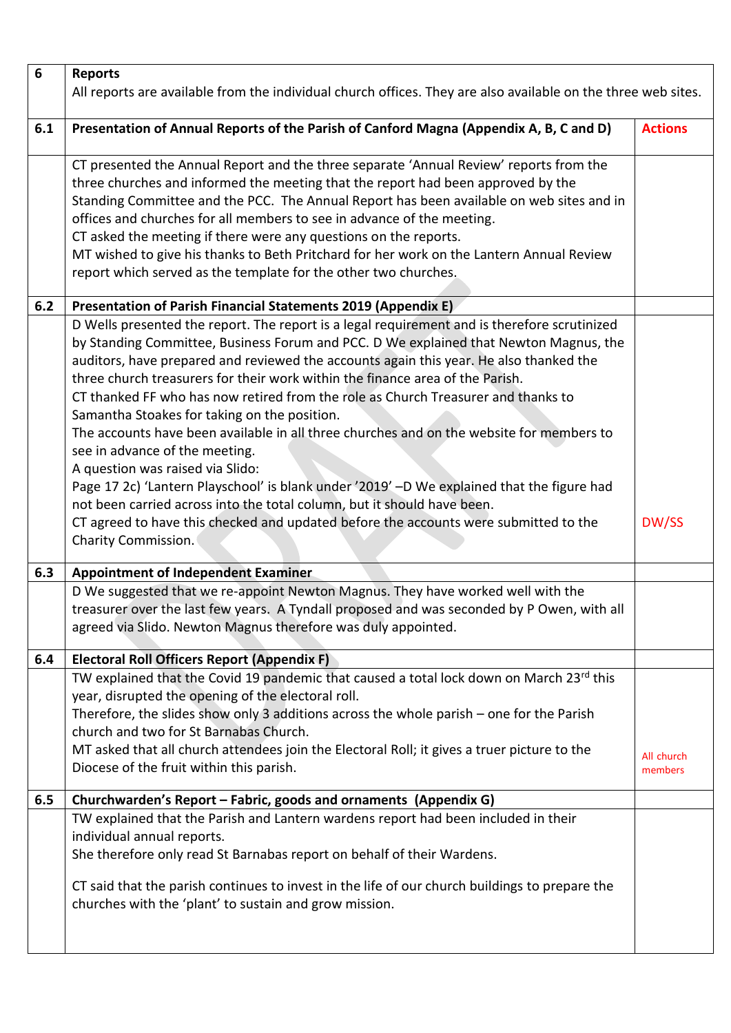| $\boldsymbol{6}$ | <b>Reports</b>                                                                                                                                                                                                                                                                                                                                                                                                                                                                                                                                                                                                                                                                                                                                                                                                                                   |                       |
|------------------|--------------------------------------------------------------------------------------------------------------------------------------------------------------------------------------------------------------------------------------------------------------------------------------------------------------------------------------------------------------------------------------------------------------------------------------------------------------------------------------------------------------------------------------------------------------------------------------------------------------------------------------------------------------------------------------------------------------------------------------------------------------------------------------------------------------------------------------------------|-----------------------|
|                  | All reports are available from the individual church offices. They are also available on the three web sites.                                                                                                                                                                                                                                                                                                                                                                                                                                                                                                                                                                                                                                                                                                                                    |                       |
|                  |                                                                                                                                                                                                                                                                                                                                                                                                                                                                                                                                                                                                                                                                                                                                                                                                                                                  |                       |
| 6.1              | Presentation of Annual Reports of the Parish of Canford Magna (Appendix A, B, C and D)                                                                                                                                                                                                                                                                                                                                                                                                                                                                                                                                                                                                                                                                                                                                                           | <b>Actions</b>        |
|                  | CT presented the Annual Report and the three separate 'Annual Review' reports from the<br>three churches and informed the meeting that the report had been approved by the<br>Standing Committee and the PCC. The Annual Report has been available on web sites and in<br>offices and churches for all members to see in advance of the meeting.<br>CT asked the meeting if there were any questions on the reports.<br>MT wished to give his thanks to Beth Pritchard for her work on the Lantern Annual Review<br>report which served as the template for the other two churches.                                                                                                                                                                                                                                                              |                       |
| 6.2              | Presentation of Parish Financial Statements 2019 (Appendix E)                                                                                                                                                                                                                                                                                                                                                                                                                                                                                                                                                                                                                                                                                                                                                                                    |                       |
|                  | D Wells presented the report. The report is a legal requirement and is therefore scrutinized<br>by Standing Committee, Business Forum and PCC. D We explained that Newton Magnus, the<br>auditors, have prepared and reviewed the accounts again this year. He also thanked the<br>three church treasurers for their work within the finance area of the Parish.<br>CT thanked FF who has now retired from the role as Church Treasurer and thanks to<br>Samantha Stoakes for taking on the position.<br>The accounts have been available in all three churches and on the website for members to<br>see in advance of the meeting.<br>A question was raised via Slido:<br>Page 17 2c) 'Lantern Playschool' is blank under '2019' -D We explained that the figure had<br>not been carried across into the total column, but it should have been. |                       |
|                  | CT agreed to have this checked and updated before the accounts were submitted to the<br>Charity Commission.                                                                                                                                                                                                                                                                                                                                                                                                                                                                                                                                                                                                                                                                                                                                      | DW/SS                 |
| 6.3              | <b>Appointment of Independent Examiner</b>                                                                                                                                                                                                                                                                                                                                                                                                                                                                                                                                                                                                                                                                                                                                                                                                       |                       |
|                  | D We suggested that we re-appoint Newton Magnus. They have worked well with the<br>treasurer over the last few years. A Tyndall proposed and was seconded by P Owen, with all<br>agreed via Slido. Newton Magnus therefore was duly appointed.                                                                                                                                                                                                                                                                                                                                                                                                                                                                                                                                                                                                   |                       |
| 6.4              | <b>Electoral Roll Officers Report (Appendix F)</b>                                                                                                                                                                                                                                                                                                                                                                                                                                                                                                                                                                                                                                                                                                                                                                                               |                       |
|                  | TW explained that the Covid 19 pandemic that caused a total lock down on March 23rd this<br>year, disrupted the opening of the electoral roll.<br>Therefore, the slides show only 3 additions across the whole parish - one for the Parish<br>church and two for St Barnabas Church.<br>MT asked that all church attendees join the Electoral Roll; it gives a truer picture to the<br>Diocese of the fruit within this parish.                                                                                                                                                                                                                                                                                                                                                                                                                  | All church<br>members |
| 6.5              | Churchwarden's Report - Fabric, goods and ornaments (Appendix G)                                                                                                                                                                                                                                                                                                                                                                                                                                                                                                                                                                                                                                                                                                                                                                                 |                       |
|                  | TW explained that the Parish and Lantern wardens report had been included in their<br>individual annual reports.<br>She therefore only read St Barnabas report on behalf of their Wardens.<br>CT said that the parish continues to invest in the life of our church buildings to prepare the<br>churches with the 'plant' to sustain and grow mission.                                                                                                                                                                                                                                                                                                                                                                                                                                                                                           |                       |
|                  |                                                                                                                                                                                                                                                                                                                                                                                                                                                                                                                                                                                                                                                                                                                                                                                                                                                  |                       |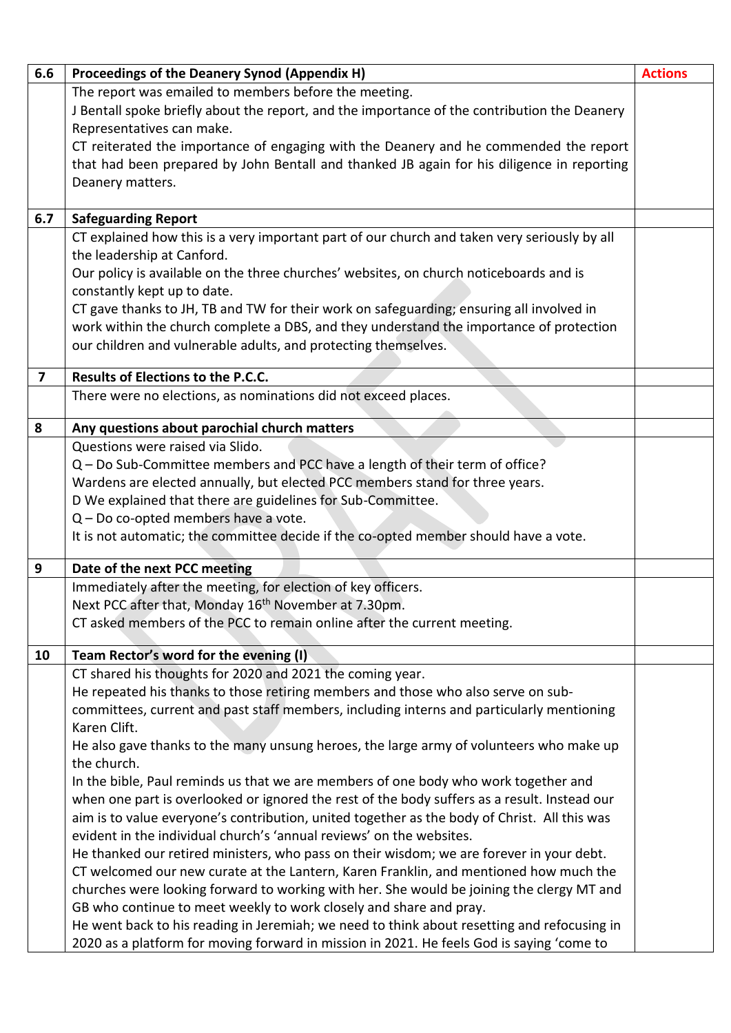| 6.6                     | Proceedings of the Deanery Synod (Appendix H)                                                | <b>Actions</b> |
|-------------------------|----------------------------------------------------------------------------------------------|----------------|
|                         | The report was emailed to members before the meeting.                                        |                |
|                         | J Bentall spoke briefly about the report, and the importance of the contribution the Deanery |                |
|                         | Representatives can make.                                                                    |                |
|                         | CT reiterated the importance of engaging with the Deanery and he commended the report        |                |
|                         | that had been prepared by John Bentall and thanked JB again for his diligence in reporting   |                |
|                         | Deanery matters.                                                                             |                |
|                         |                                                                                              |                |
| 6.7                     | <b>Safeguarding Report</b>                                                                   |                |
|                         | CT explained how this is a very important part of our church and taken very seriously by all |                |
|                         | the leadership at Canford.                                                                   |                |
|                         | Our policy is available on the three churches' websites, on church noticeboards and is       |                |
|                         | constantly kept up to date.                                                                  |                |
|                         | CT gave thanks to JH, TB and TW for their work on safeguarding; ensuring all involved in     |                |
|                         | work within the church complete a DBS, and they understand the importance of protection      |                |
|                         | our children and vulnerable adults, and protecting themselves.                               |                |
| $\overline{\mathbf{z}}$ | Results of Elections to the P.C.C.                                                           |                |
|                         | There were no elections, as nominations did not exceed places.                               |                |
|                         |                                                                                              |                |
| 8                       | Any questions about parochial church matters                                                 |                |
|                         | Questions were raised via Slido.                                                             |                |
|                         | Q - Do Sub-Committee members and PCC have a length of their term of office?                  |                |
|                         | Wardens are elected annually, but elected PCC members stand for three years.                 |                |
|                         | D We explained that there are guidelines for Sub-Committee.                                  |                |
|                         | Q - Do co-opted members have a vote.                                                         |                |
|                         | It is not automatic; the committee decide if the co-opted member should have a vote.         |                |
| 9                       | Date of the next PCC meeting                                                                 |                |
|                         | Immediately after the meeting, for election of key officers.                                 |                |
|                         | Next PCC after that, Monday 16 <sup>th</sup> November at 7.30pm.                             |                |
|                         | CT asked members of the PCC to remain online after the current meeting.                      |                |
| 10                      | Team Rector's word for the evening (I)                                                       |                |
|                         | CT shared his thoughts for 2020 and 2021 the coming year.                                    |                |
|                         | He repeated his thanks to those retiring members and those who also serve on sub-            |                |
|                         | committees, current and past staff members, including interns and particularly mentioning    |                |
|                         | Karen Clift.                                                                                 |                |
|                         | He also gave thanks to the many unsung heroes, the large army of volunteers who make up      |                |
|                         | the church.                                                                                  |                |
|                         | In the bible, Paul reminds us that we are members of one body who work together and          |                |
|                         | when one part is overlooked or ignored the rest of the body suffers as a result. Instead our |                |
|                         | aim is to value everyone's contribution, united together as the body of Christ. All this was |                |
|                         | evident in the individual church's 'annual reviews' on the websites.                         |                |
|                         | He thanked our retired ministers, who pass on their wisdom; we are forever in your debt.     |                |
|                         | CT welcomed our new curate at the Lantern, Karen Franklin, and mentioned how much the        |                |
|                         | churches were looking forward to working with her. She would be joining the clergy MT and    |                |
|                         | GB who continue to meet weekly to work closely and share and pray.                           |                |
|                         | He went back to his reading in Jeremiah; we need to think about resetting and refocusing in  |                |
|                         | 2020 as a platform for moving forward in mission in 2021. He feels God is saying 'come to    |                |